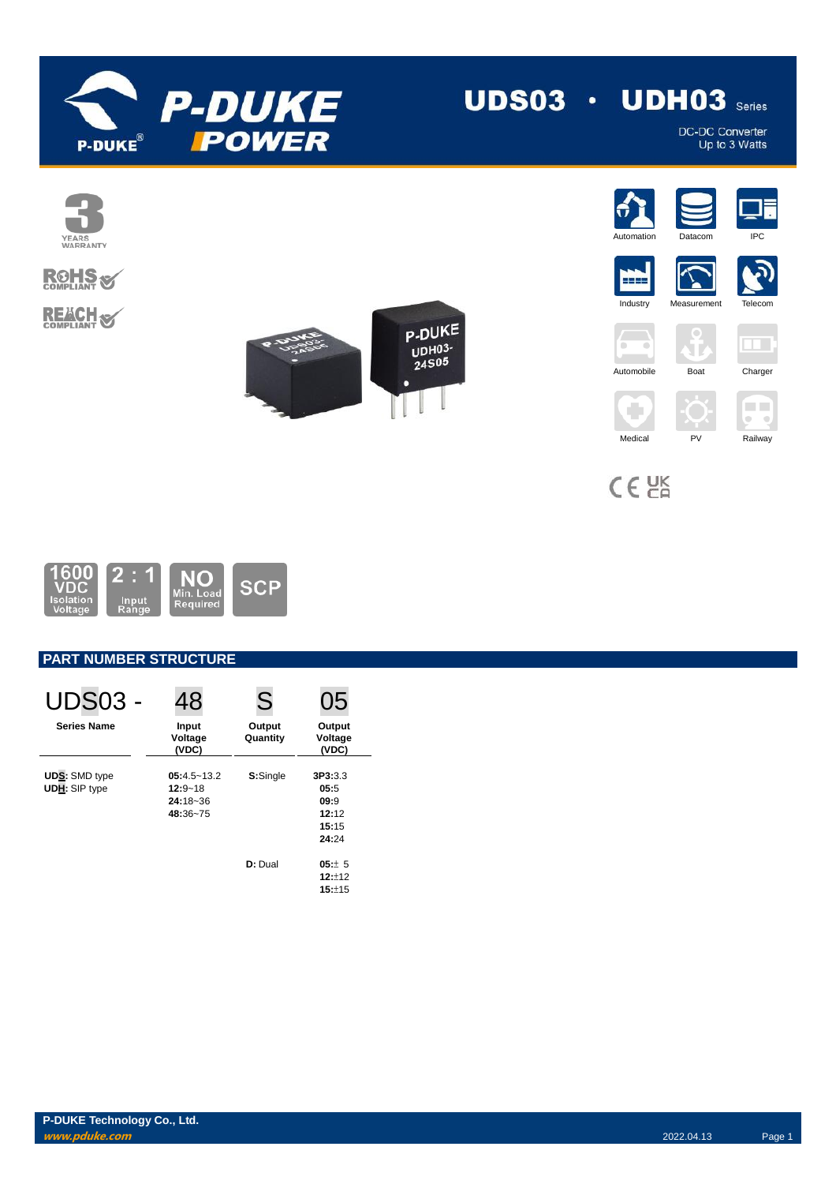

DC-DC Converter<br>Up to 3 Watts



# **ROHS REACH S**







## **PART NUMBER STRUCTURE**

| <b>UDS03 -</b>                               | 48                                                         | S                  | 05                                                 |
|----------------------------------------------|------------------------------------------------------------|--------------------|----------------------------------------------------|
| <b>Series Name</b>                           | Input<br>Voltage<br>(VDC)                                  | Output<br>Quantity | Output<br>Voltage<br>(VDC)                         |
| <b>UDS: SMD type</b><br><b>UDH: SIP type</b> | $05:4.5 - 13.2$<br>$12:9 - 18$<br>$24:18 - 36$<br>48:36~75 | S:Single           | 3P3:3.3<br>05:5<br>09:9<br>12:12<br>15:15<br>24:24 |
|                                              |                                                            | D: Dual            | $05:+ 5$<br>12:12<br>15:±15                        |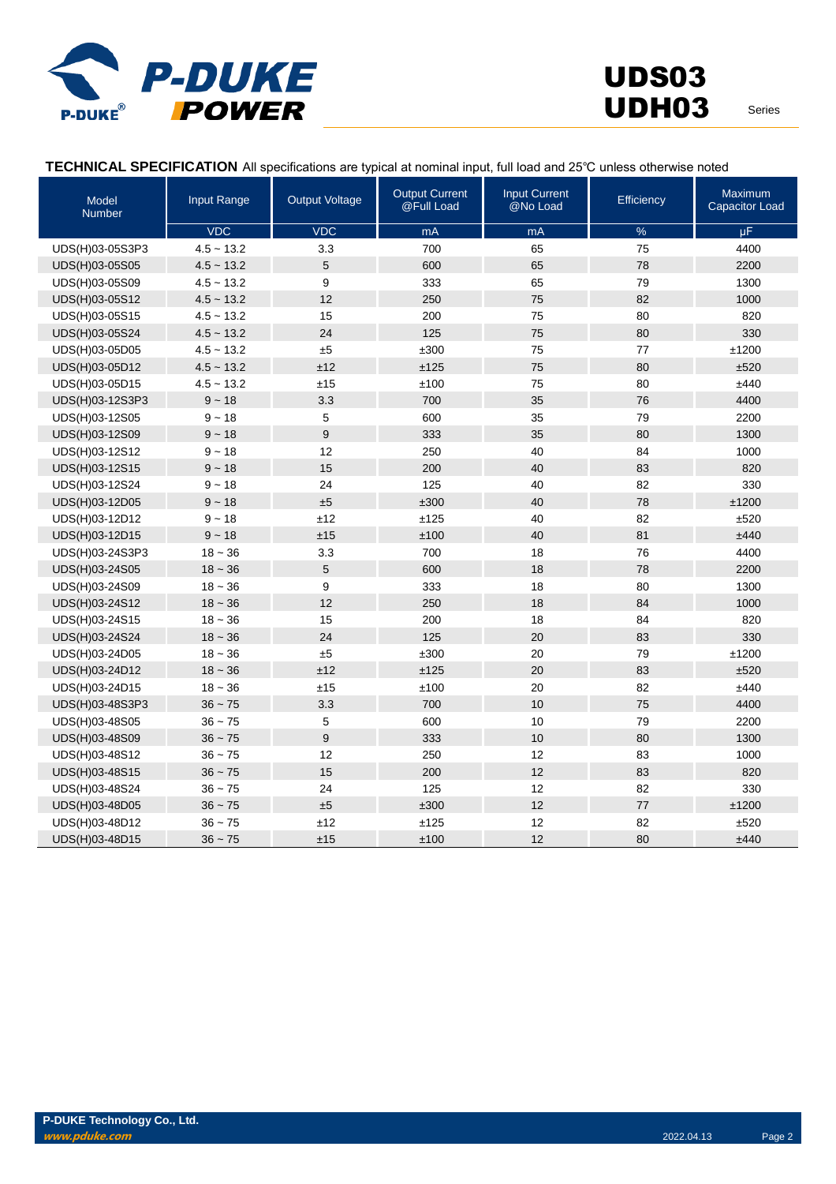

### **TECHNICAL SPECIFICATION** All specifications are typical at nominal input, full load and 25℃ unless otherwise noted

| <b>Model</b><br><b>Number</b> | <b>Input Range</b> | <b>Output Voltage</b> | <b>Output Current</b><br>@Full Load | <b>Input Current</b><br>@No Load | <b>Efficiency</b> | <b>Maximum</b><br>Capacitor Load |
|-------------------------------|--------------------|-----------------------|-------------------------------------|----------------------------------|-------------------|----------------------------------|
|                               | <b>VDC</b>         | <b>VDC</b>            | mA                                  | mA                               | $\%$              | $\mu$ F                          |
| UDS(H)03-05S3P3               | $4.5 - 13.2$       | 3.3                   | 700                                 | 65                               | 75                | 4400                             |
| UDS(H)03-05S05                | $4.5 - 13.2$       | 5                     | 600                                 | 65                               | 78                | 2200                             |
| UDS(H)03-05S09                | $4.5 \sim 13.2$    | 9                     | 333                                 | 65                               | 79                | 1300                             |
| UDS(H)03-05S12                | $4.5 - 13.2$       | 12                    | 250                                 | 75                               | 82                | 1000                             |
| UDS(H)03-05S15                | $4.5 - 13.2$       | 15                    | 200                                 | 75                               | 80                | 820                              |
| UDS(H)03-05S24                | $4.5 - 13.2$       | 24                    | 125                                 | 75                               | 80                | 330                              |
| UDS(H)03-05D05                | $4.5 \sim 13.2$    | ±5                    | ±300                                | 75                               | 77                | ±1200                            |
| UDS(H)03-05D12                | $4.5 \sim 13.2$    | ±12                   | ±125                                | 75                               | 80                | ±520                             |
| UDS(H)03-05D15                | $4.5 - 13.2$       | ±15                   | ±100                                | 75                               | 80                | ±440                             |
| UDS(H)03-12S3P3               | $9 - 18$           | 3.3                   | 700                                 | 35                               | 76                | 4400                             |
| UDS(H)03-12S05                | $9 - 18$           | 5                     | 600                                 | 35                               | 79                | 2200                             |
| UDS(H)03-12S09                | $9 - 18$           | $\mathsf g$           | 333                                 | 35                               | 80                | 1300                             |
| UDS(H)03-12S12                | $9 - 18$           | 12                    | 250                                 | 40                               | 84                | 1000                             |
| UDS(H)03-12S15                | $9 - 18$           | 15                    | 200                                 | 40                               | 83                | 820                              |
| UDS(H)03-12S24                | $9 - 18$           | 24                    | 125                                 | 40                               | 82                | 330                              |
| UDS(H)03-12D05                | $9 - 18$           | ±5                    | ±300                                | 40                               | 78                | ±1200                            |
| UDS(H)03-12D12                | $9 - 18$           | ±12                   | ±125                                | 40                               | 82                | ±520                             |
| UDS(H)03-12D15                | $9 - 18$           | ±15                   | ±100                                | 40                               | 81                | ±440                             |
| UDS(H)03-24S3P3               | $18 - 36$          | 3.3                   | 700                                 | 18                               | 76                | 4400                             |
| UDS(H)03-24S05                | $18 - 36$          | 5                     | 600                                 | 18                               | 78                | 2200                             |
| UDS(H)03-24S09                | $18 - 36$          | 9                     | 333                                 | 18                               | 80                | 1300                             |
| UDS(H)03-24S12                | $18 - 36$          | 12                    | 250                                 | 18                               | 84                | 1000                             |
| UDS(H)03-24S15                | $18 - 36$          | 15                    | 200                                 | 18                               | 84                | 820                              |
| UDS(H)03-24S24                | $18 - 36$          | 24                    | 125                                 | 20                               | 83                | 330                              |
| UDS(H)03-24D05                | $18 - 36$          | ±5                    | ±300                                | 20                               | 79                | ±1200                            |
| UDS(H)03-24D12                | $18 - 36$          | ±12                   | ±125                                | 20                               | 83                | ±520                             |
| UDS(H)03-24D15                | $18 - 36$          | ±15                   | ±100                                | 20                               | 82                | ±440                             |
| UDS(H)03-48S3P3               | $36 - 75$          | 3.3                   | 700                                 | 10                               | 75                | 4400                             |
| UDS(H)03-48S05                | $36 - 75$          | 5                     | 600                                 | 10                               | 79                | 2200                             |
| UDS(H)03-48S09                | $36 - 75$          | 9                     | 333                                 | 10                               | 80                | 1300                             |
| UDS(H)03-48S12                | $36 - 75$          | 12                    | 250                                 | 12                               | 83                | 1000                             |
| UDS(H)03-48S15                | $36 - 75$          | 15                    | 200                                 | 12                               | 83                | 820                              |
| UDS(H)03-48S24                | $36 - 75$          | 24                    | 125                                 | 12                               | 82                | 330                              |
| UDS(H)03-48D05                | $36 - 75$          | ±5                    | ±300                                | 12                               | 77                | ±1200                            |
| UDS(H)03-48D12                | $36 - 75$          | ±12                   | ±125                                | 12                               | 82                | ±520                             |
| UDS(H)03-48D15                | $36 - 75$          | ±15                   | ±100                                | 12                               | 80                | ±440                             |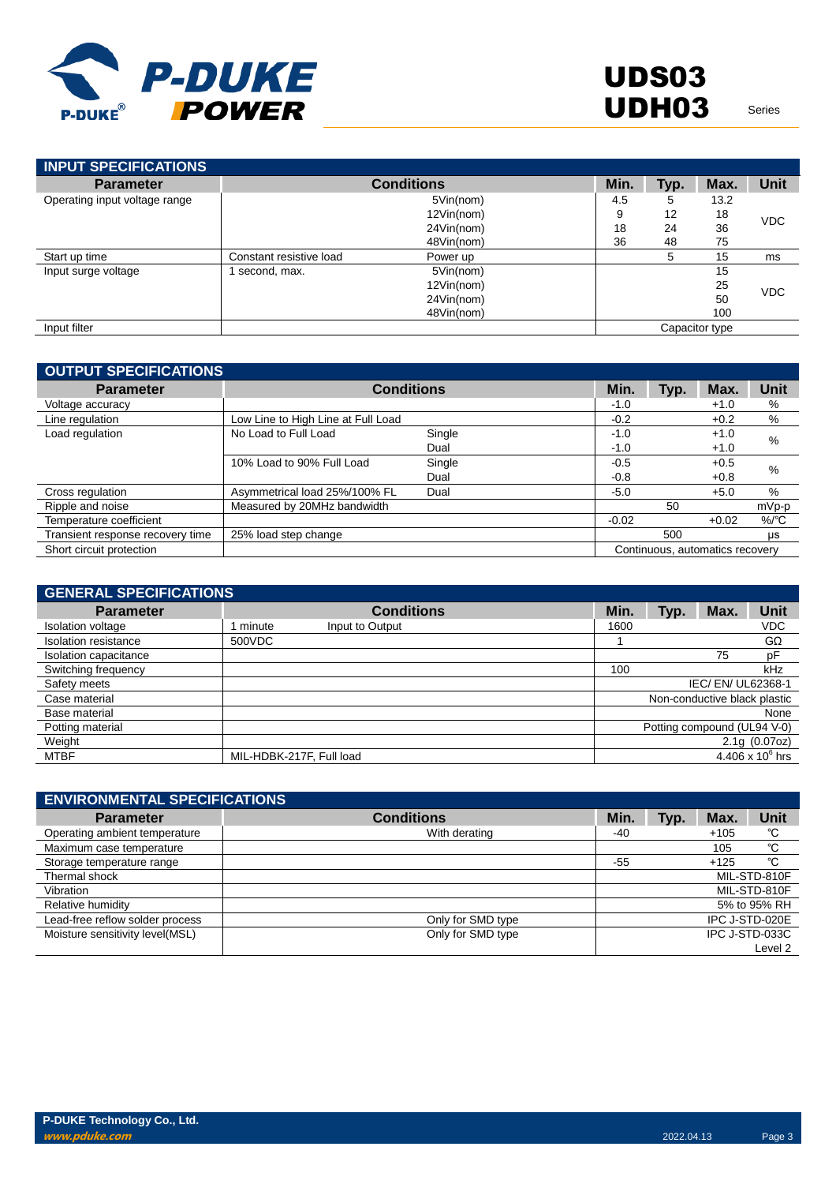

| <b>INPUT SPECIFICATIONS</b>   |                         |                   |      |      |                |            |
|-------------------------------|-------------------------|-------------------|------|------|----------------|------------|
| <b>Parameter</b>              |                         | <b>Conditions</b> | Min. | Typ. | Max.           | Unit       |
| Operating input voltage range |                         | 5Vin(nom)         | 4.5  | 5    | 13.2           |            |
|                               |                         | 12Vin(nom)        | 9    | 12   | 18             | <b>VDC</b> |
|                               |                         | 24Vin(nom)        | 18   | 24   | 36             |            |
|                               |                         | 48Vin(nom)        | 36   | 48   | 75             |            |
| Start up time                 | Constant resistive load | Power up          |      | 5    | 15             | ms         |
| Input surge voltage           | second, max.            | 5Vin(nom)         |      |      | 15             |            |
|                               |                         | 12Vin(nom)        |      |      | 25             | <b>VDC</b> |
|                               |                         | 24Vin(nom)        |      |      | 50             |            |
|                               |                         | 48Vin(nom)        |      |      | 100            |            |
| Input filter                  |                         |                   |      |      | Capacitor type |            |

| <b>OUTPUT SPECIFICATIONS</b>     |                                    |                   |         |      |                                 |                 |
|----------------------------------|------------------------------------|-------------------|---------|------|---------------------------------|-----------------|
| <b>Parameter</b>                 |                                    | <b>Conditions</b> | Min.    | Typ. | Max.                            | Unit            |
| Voltage accuracy                 |                                    |                   | $-1.0$  |      | $+1.0$                          | %               |
| Line regulation                  | Low Line to High Line at Full Load |                   | $-0.2$  |      | $+0.2$                          | %               |
| Load regulation                  | No Load to Full Load               | Single            | $-1.0$  |      | $+1.0$                          | %               |
|                                  |                                    | Dual              | $-1.0$  |      | $+1.0$                          |                 |
|                                  | 10% Load to 90% Full Load          | Single            | $-0.5$  |      | $+0.5$                          | %               |
|                                  |                                    | Dual              | $-0.8$  |      | $+0.8$                          |                 |
| Cross regulation                 | Asymmetrical load 25%/100% FL      | Dual              | $-5.0$  |      | $+5.0$                          | %               |
| Ripple and noise                 | Measured by 20MHz bandwidth        |                   |         | 50   |                                 | $mVp-p$         |
| Temperature coefficient          |                                    |                   | $-0.02$ |      | $+0.02$                         | $%$ $\degree$ C |
| Transient response recovery time | 25% load step change               |                   |         | 500  |                                 | μs              |
| Short circuit protection         |                                    |                   |         |      | Continuous, automatics recovery |                 |

| <b>GENERAL SPECIFICATIONS</b> |                          |                   |      |      |                              |                    |
|-------------------------------|--------------------------|-------------------|------|------|------------------------------|--------------------|
| <b>Parameter</b>              |                          | <b>Conditions</b> | Min. | Typ. | Max.                         | <b>Unit</b>        |
| Isolation voltage             | minute                   | Input to Output   | 1600 |      |                              | <b>VDC</b>         |
| Isolation resistance          | 500VDC                   |                   |      |      |                              | GΩ                 |
| Isolation capacitance         |                          |                   |      |      | 75                           | pF                 |
| Switching frequency           |                          |                   | 100  |      |                              | kHz                |
| Safety meets                  |                          |                   |      |      | IEC/ EN/ UL62368-1           |                    |
| Case material                 |                          |                   |      |      | Non-conductive black plastic |                    |
| Base material                 |                          |                   |      |      |                              | None               |
| Potting material              |                          |                   |      |      | Potting compound (UL94 V-0)  |                    |
| Weight                        |                          |                   |      |      |                              | 2.1g(0.07oz)       |
| MTBF                          | MIL-HDBK-217F, Full load |                   |      |      |                              | 4.406 x $10^6$ hrs |

| <b>ENVIRONMENTAL SPECIFICATIONS</b> |                   |       |      |        |                |
|-------------------------------------|-------------------|-------|------|--------|----------------|
| <b>Parameter</b>                    | <b>Conditions</b> | Min.  | Typ. | Max.   | Unit           |
| Operating ambient temperature       | With derating     | -40   |      | $+105$ | °C             |
| Maximum case temperature            |                   |       |      | 105    | °C             |
| Storage temperature range           |                   | $-55$ |      | $+125$ | °C             |
| Thermal shock                       |                   |       |      |        | MIL-STD-810F   |
| Vibration                           |                   |       |      |        | MIL-STD-810F   |
| Relative humidity                   |                   |       |      |        | 5% to 95% RH   |
| Lead-free reflow solder process     | Only for SMD type |       |      |        | IPC J-STD-020E |
| Moisture sensitivity level(MSL)     | Only for SMD type |       |      |        | IPC J-STD-033C |
|                                     |                   |       |      |        | Level 2        |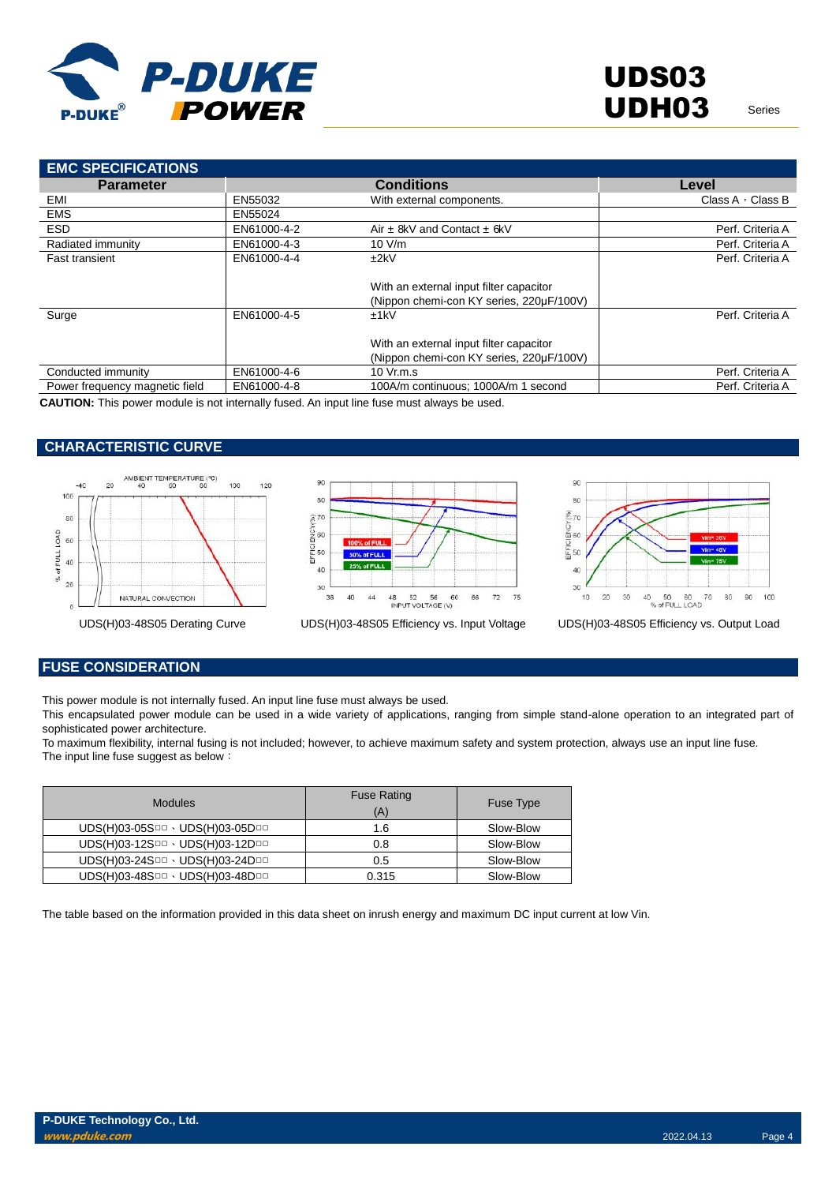

| <b>EMC SPECIFICATIONS</b>      |             |                                          |                         |
|--------------------------------|-------------|------------------------------------------|-------------------------|
| <b>Parameter</b>               |             | <b>Conditions</b>                        | Level                   |
| EMI                            | EN55032     | With external components.                | Class $A \cdot$ Class B |
| <b>EMS</b>                     | EN55024     |                                          |                         |
| <b>ESD</b>                     | EN61000-4-2 | Air $\pm$ 8kV and Contact $\pm$ 6kV      | Perf. Criteria A        |
| Radiated immunity              | EN61000-4-3 | 10 V/m                                   | Perf. Criteria A        |
| <b>Fast transient</b>          | EN61000-4-4 | ±2kV                                     | Perf. Criteria A        |
|                                |             |                                          |                         |
|                                |             | With an external input filter capacitor  |                         |
|                                |             | (Nippon chemi-con KY series, 220µF/100V) |                         |
| Surge                          | EN61000-4-5 | ±1kV                                     | Perf. Criteria A        |
|                                |             |                                          |                         |
|                                |             | With an external input filter capacitor  |                         |
|                                |             | (Nippon chemi-con KY series, 220µF/100V) |                         |
| Conducted immunity             | EN61000-4-6 | 10 Vr.m.s                                | Perf. Criteria A        |
| Power frequency magnetic field | EN61000-4-8 | 100A/m continuous; 1000A/m 1 second      | Perf. Criteria A        |
|                                |             |                                          |                         |

**CAUTION:** This power module is not internally fused. An input line fuse must always be used.

### **CHARACTERISTIC CURVE**









## **FUSE CONSIDERATION**

This power module is not internally fused. An input line fuse must always be used.

This encapsulated power module can be used in a wide variety of applications, ranging from simple stand-alone operation to an integrated part of sophisticated power architecture.

To maximum flexibility, internal fusing is not included; however, to achieve maximum safety and system protection, always use an input line fuse. The input line fuse suggest as below:

| <b>Modules</b>                  | <b>Fuse Rating</b><br>(A) | Fuse Type |
|---------------------------------|---------------------------|-----------|
| UDS(H)03-05SOD · UDS(H)03-05DOD | 1.6                       | Slow-Blow |
| UDS(H)03-12SOD · UDS(H)03-12DOD | 0.8                       | Slow-Blow |
| UDS(H)03-24SOD · UDS(H)03-24DOD | 0.5                       | Slow-Blow |
| UDS(H)03-48SOD · UDS(H)03-48DOD | 0.315                     | Slow-Blow |

The table based on the information provided in this data sheet on inrush energy and maximum DC input current at low Vin.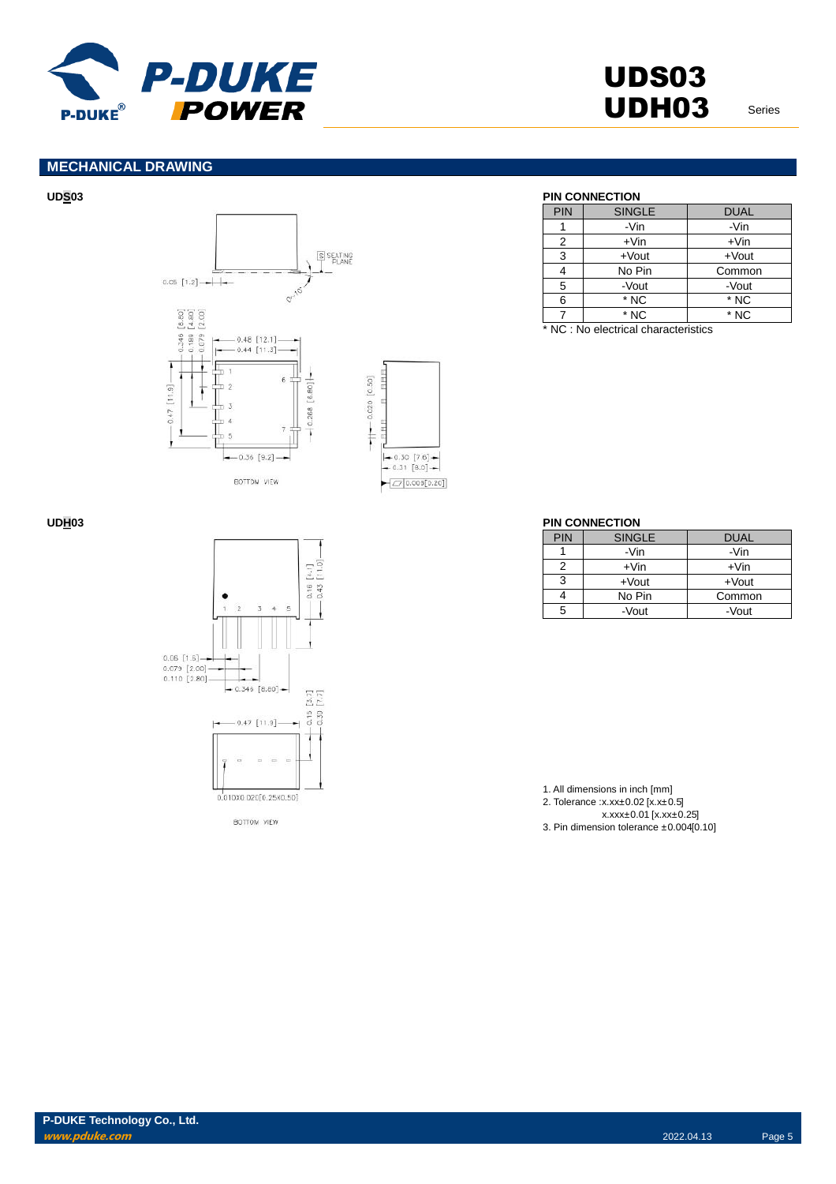

## **MECHANICAL DRAWING**







BOTTOM VIEW

### **UDS03 PIN CONNECTION**

| PIN | <b>SINGLE</b> | <b>DUAL</b> |
|-----|---------------|-------------|
|     | -Vin          | -Vin        |
| 2   | $+V$ in       | $+V$ in     |
| 3   | $+$ Vout      | $+$ Vout    |
|     |               |             |
|     | No Pin        | Common      |
| 5   | -Vout         | -Vout       |
| 6   | * NC          | * NC        |

\* NC : No electrical characteristics

### **UDH03 PIN CONNECTION**

| PIN | <b>SINGLE</b> | DUAL     |
|-----|---------------|----------|
|     | -Vin          | -Vin     |
| 2   | $+V$ in       | $+V$ in  |
| 3   | $+$ Vout      | $+$ Vout |
|     | No Pin        | Common   |
| 5   | -Vout         | -Vout    |

1. All dimensions in inch [mm] 2. Tolerance :x.xx±0.02 [x.x±0.5] x.xxx±0.01 [x.xx±0.25] 3. Pin dimension tolerance ±0.004[0.10]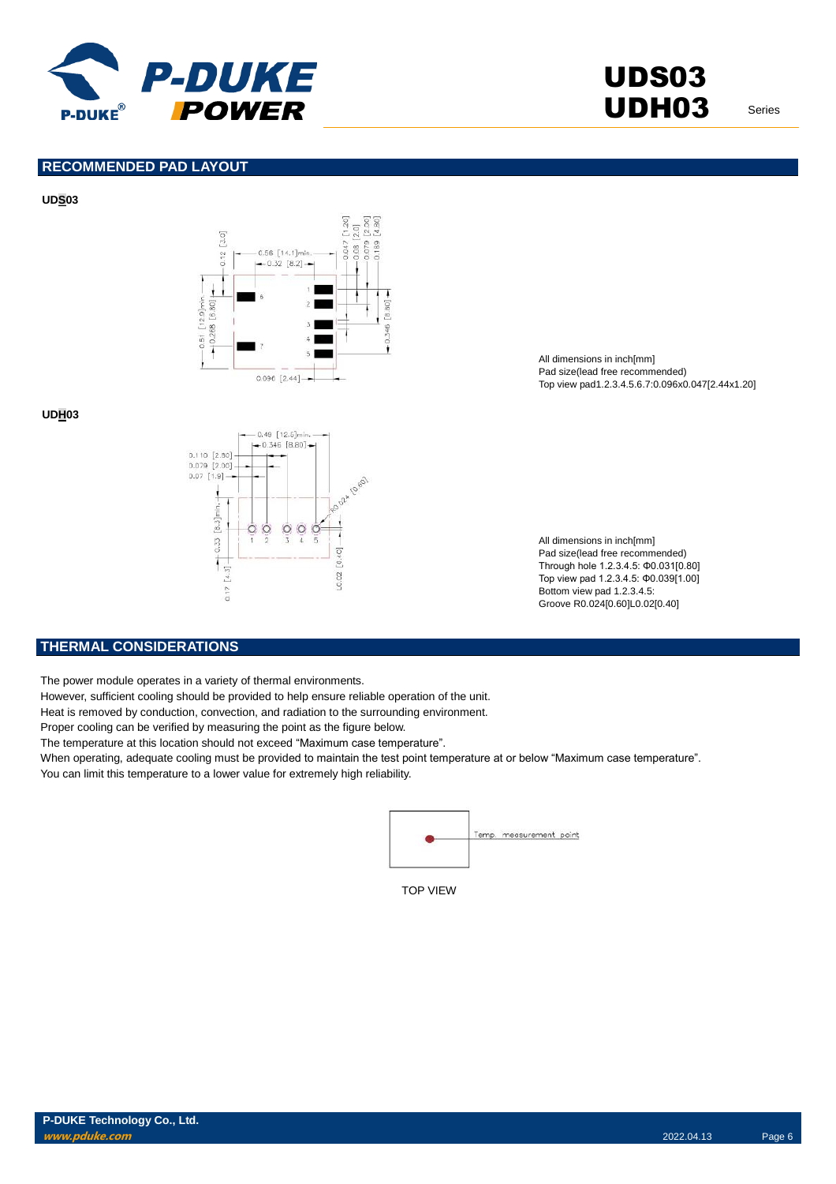

**RECOMMENDED PAD LAYOUT**

### **UDS03**



**UDH03**



All dimensions in inch[mm] Pad size(lead free recommended) Top view pad1.2.3.4.5.6.7:0.096x0.047[2.44x1.20]

All dimensions in inch[mm] Pad size(lead free recommended) Through hole 1.2.3.4.5: Φ0.031[0.80] Top view pad 1.2.3.4.5: Φ0.039[1.00] Bottom view pad 1.2.3.4.5: Groove R0.024[0.60]L0.02[0.40]

### **THERMAL CONSIDERATIONS**

The power module operates in a variety of thermal environments.

However, sufficient cooling should be provided to help ensure reliable operation of the unit.

Heat is removed by conduction, convection, and radiation to the surrounding environment.

Proper cooling can be verified by measuring the point as the figure below.

The temperature at this location should not exceed "Maximum case temperature".

When operating, adequate cooling must be provided to maintain the test point temperature at or below "Maximum case temperature". You can limit this temperature to a lower value for extremely high reliability.



TOP VIEW